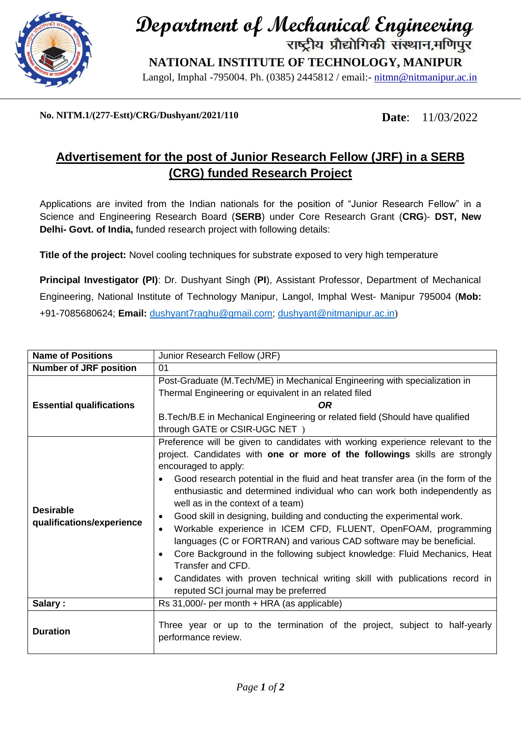

 **Department of Mechanical Engineering**

 **NATIONAL INSTITUTE OF TECHNOLOGY, MANIPUR**

Langol, Imphal -795004. Ph. (0385) 2445812 / email:- [nitmn@nitmanipur.ac.in](mailto:nitmn@nitmanipur.ac.in)

## **No. NITM.1/(277-Estt)/CRG/Dushyant/2021/110**

**Date**: 11/03/2022

## **Advertisement for the post of Junior Research Fellow (JRF) in a SERB (CRG) funded Research Project**

Applications are invited from the Indian nationals for the position of "Junior Research Fellow" in a Science and Engineering Research Board (**SERB**) under Core Research Grant (**CRG**)- **DST, New Delhi- Govt. of India,** funded research project with following details:

**Title of the project:** Novel cooling techniques for substrate exposed to very high temperature

**Principal Investigator (PI)**: Dr. Dushyant Singh (**PI**), Assistant Professor, Department of Mechanical Engineering, National Institute of Technology Manipur, Langol, Imphal West- Manipur 795004 (**Mob:** +91-7085680624; **Email:** [dushyant7raghu@gmail.com;](mailto:dushyant7raghu@gmail.com) [dushyant@nitmanipur.ac.in](mailto:dushyant@nitmanipur.ac.in))

| <b>Name of Positions</b>                      | Junior Research Fellow (JRF)                                                                                                                                                                                                                                                                                                                                                                                                                                                                                                                                                                                                                                                                                                                                                                                                                                                                    |
|-----------------------------------------------|-------------------------------------------------------------------------------------------------------------------------------------------------------------------------------------------------------------------------------------------------------------------------------------------------------------------------------------------------------------------------------------------------------------------------------------------------------------------------------------------------------------------------------------------------------------------------------------------------------------------------------------------------------------------------------------------------------------------------------------------------------------------------------------------------------------------------------------------------------------------------------------------------|
| <b>Number of JRF position</b>                 | 01                                                                                                                                                                                                                                                                                                                                                                                                                                                                                                                                                                                                                                                                                                                                                                                                                                                                                              |
| <b>Essential qualifications</b>               | Post-Graduate (M.Tech/ME) in Mechanical Engineering with specialization in<br>Thermal Engineering or equivalent in an related filed<br><b>OR</b><br>B. Tech/B.E in Mechanical Engineering or related field (Should have qualified<br>through GATE or CSIR-UGC NET )                                                                                                                                                                                                                                                                                                                                                                                                                                                                                                                                                                                                                             |
| <b>Desirable</b><br>qualifications/experience | Preference will be given to candidates with working experience relevant to the<br>project. Candidates with one or more of the followings skills are strongly<br>encouraged to apply:<br>Good research potential in the fluid and heat transfer area (in the form of the<br>$\bullet$<br>enthusiastic and determined individual who can work both independently as<br>well as in the context of a team)<br>Good skill in designing, building and conducting the experimental work.<br>٠<br>Workable experience in ICEM CFD, FLUENT, OpenFOAM, programming<br>$\bullet$<br>languages (C or FORTRAN) and various CAD software may be beneficial.<br>Core Background in the following subject knowledge: Fluid Mechanics, Heat<br>$\bullet$<br>Transfer and CFD.<br>Candidates with proven technical writing skill with publications record in<br>$\bullet$<br>reputed SCI journal may be preferred |
| Salary:                                       | Rs 31,000/- per month + HRA (as applicable)                                                                                                                                                                                                                                                                                                                                                                                                                                                                                                                                                                                                                                                                                                                                                                                                                                                     |
| <b>Duration</b>                               | Three year or up to the termination of the project, subject to half-yearly<br>performance review.                                                                                                                                                                                                                                                                                                                                                                                                                                                                                                                                                                                                                                                                                                                                                                                               |